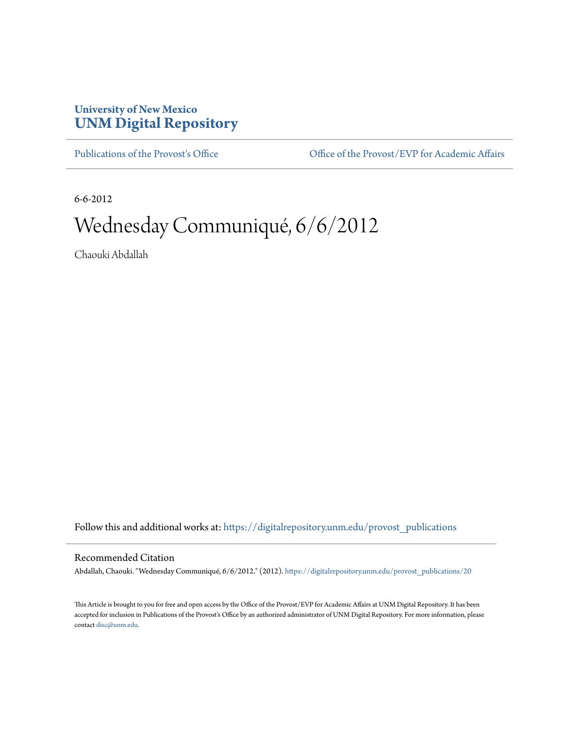## **University of New Mexico [UNM Digital Repository](https://digitalrepository.unm.edu?utm_source=digitalrepository.unm.edu%2Fprovost_publications%2F20&utm_medium=PDF&utm_campaign=PDFCoverPages)**

[Publications of the Provost's Office](https://digitalrepository.unm.edu/provost_publications?utm_source=digitalrepository.unm.edu%2Fprovost_publications%2F20&utm_medium=PDF&utm_campaign=PDFCoverPages) Office [Office of the Provost/EVP for Academic Affairs](https://digitalrepository.unm.edu/ofc_provost?utm_source=digitalrepository.unm.edu%2Fprovost_publications%2F20&utm_medium=PDF&utm_campaign=PDFCoverPages)

6-6-2012

# Wednesday Communiqué, 6/6/2012

Chaouki Abdallah

Follow this and additional works at: [https://digitalrepository.unm.edu/provost\\_publications](https://digitalrepository.unm.edu/provost_publications?utm_source=digitalrepository.unm.edu%2Fprovost_publications%2F20&utm_medium=PDF&utm_campaign=PDFCoverPages)

#### Recommended Citation

Abdallah, Chaouki. "Wednesday Communiqué, 6/6/2012." (2012). [https://digitalrepository.unm.edu/provost\\_publications/20](https://digitalrepository.unm.edu/provost_publications/20?utm_source=digitalrepository.unm.edu%2Fprovost_publications%2F20&utm_medium=PDF&utm_campaign=PDFCoverPages)

This Article is brought to you for free and open access by the Office of the Provost/EVP for Academic Affairs at UNM Digital Repository. It has been accepted for inclusion in Publications of the Provost's Office by an authorized administrator of UNM Digital Repository. For more information, please contact [disc@unm.edu.](mailto:disc@unm.edu)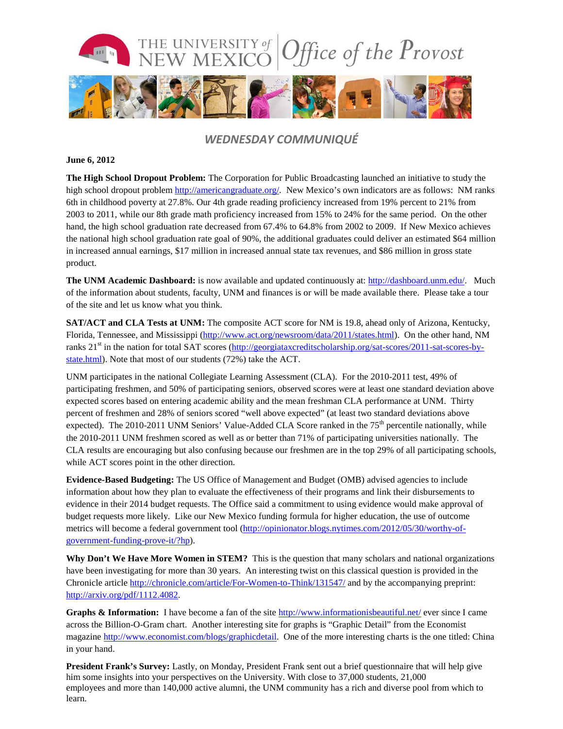

### *WEDNESDAY COMMUNIQUÉ*

#### **June 6, 2012**

**The High School Dropout Problem:** The Corporation for Public Broadcasting launched an initiative to study the high school dropout problem [http://americangraduate.org/.](http://americangraduate.org/) New Mexico's own indicators are as follows: NM ranks 6th in childhood poverty at 27.8%. Our 4th grade reading proficiency increased from 19% percent to 21% from 2003 to 2011, while our 8th grade math proficiency increased from 15% to 24% for the same period. On the other hand, the high school graduation rate decreased from 67.4% to 64.8% from 2002 to 2009. If New Mexico achieves the national high school graduation rate goal of 90%, the additional graduates could deliver an estimated \$64 million in increased annual earnings, \$17 million in increased annual state tax revenues, and \$86 million in gross state product.

**The UNM Academic Dashboard:** is now available and updated continuously at: [http://dashboard.unm.edu/.](http://dashboard.unm.edu/) Much of the information about students, faculty, UNM and finances is or will be made available there. Please take a tour of the site and let us know what you think.

**SAT/ACT** and CLA Tests at UNM: The composite ACT score for NM is 19.8, ahead only of Arizona, Kentucky, Florida, Tennessee, and Mississippi [\(http://www.act.org/newsroom/data/2011/states.html\)](http://www.act.org/newsroom/data/2011/states.html). On the other hand, NM ranks 21st in the nation for total SAT scores [\(http://georgiataxcreditscholarship.org/sat-scores/2011-sat-scores-by](http://georgiataxcreditscholarship.org/sat-scores/2011-sat-scores-by-state.html)[state.html\)](http://georgiataxcreditscholarship.org/sat-scores/2011-sat-scores-by-state.html). Note that most of our students (72%) take the ACT.

UNM participates in the national Collegiate Learning Assessment (CLA). For the 2010-2011 test, 49% of participating freshmen, and 50% of participating seniors, observed scores were at least one standard deviation above expected scores based on entering academic ability and the mean freshman CLA performance at UNM. Thirty percent of freshmen and 28% of seniors scored "well above expected" (at least two standard deviations above expected). The 2010-2011 UNM Seniors' Value-Added CLA Score ranked in the  $75<sup>th</sup>$  percentile nationally, while the 2010-2011 UNM freshmen scored as well as or better than 71% of participating universities nationally. The CLA results are encouraging but also confusing because our freshmen are in the top 29% of all participating schools, while ACT scores point in the other direction.

**Evidence-Based Budgeting:** The US Office of Management and Budget (OMB) advised agencies to include information about how they plan to evaluate the effectiveness of their programs and link their disbursements to evidence in their 2014 budget requests. The Office said a commitment to using evidence would make approval of budget requests more likely. Like our New Mexico funding formula for higher education, the use of outcome metrics will become a federal government tool [\(http://opinionator.blogs.nytimes.com/2012/05/30/worthy-of](http://opinionator.blogs.nytimes.com/2012/05/30/worthy-of-government-funding-prove-it/?hp)[government-funding-prove-it/?hp\)](http://opinionator.blogs.nytimes.com/2012/05/30/worthy-of-government-funding-prove-it/?hp).

**Why Don't We Have More Women in STEM?** This is the question that many scholars and national organizations have been investigating for more than 30 years. An interesting twist on this classical question is provided in the Chronicle article<http://chronicle.com/article/For-Women-to-Think/131547/> and by the accompanying preprint: [http://arxiv.org/pdf/1112.4082.](http://arxiv.org/pdf/1112.4082)

**Graphs & Information:** I have become a fan of the site<http://www.informationisbeautiful.net/> ever since I came across the Billion-O-Gram chart. Another interesting site for graphs is "Graphic Detail" from the Economist magazine [http://www.economist.com/blogs/graphicdetail.](http://www.economist.com/blogs/graphicdetail) One of the more interesting charts is the one titled: China in your hand.

**President Frank's Survey:** Lastly, on Monday, President Frank sent out a brief questionnaire that will help give him some insights into your perspectives on the University. With close to 37,000 students, 21,000 employees and more than 140,000 active alumni, the UNM community has a rich and diverse pool from which to learn.